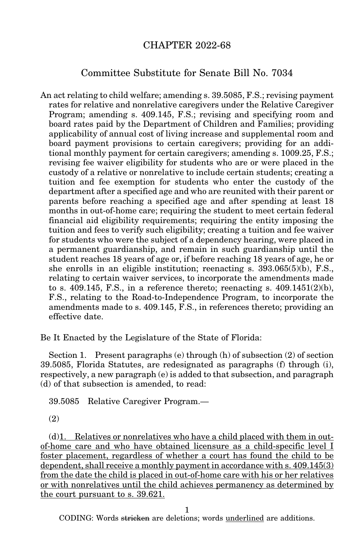## CHAPTER 2022-68

## Committee Substitute for Senate Bill No. 7034

An act relating to child welfare; amending s. 39.5085, F.S.; revising payment rates for relative and nonrelative caregivers under the Relative Caregiver Program; amending s. 409.145, F.S.; revising and specifying room and board rates paid by the Department of Children and Families; providing applicability of annual cost of living increase and supplemental room and board payment provisions to certain caregivers; providing for an additional monthly payment for certain caregivers; amending s. 1009.25, F.S.; revising fee waiver eligibility for students who are or were placed in the custody of a relative or nonrelative to include certain students; creating a tuition and fee exemption for students who enter the custody of the department after a specified age and who are reunited with their parent or parents before reaching a specified age and after spending at least 18 months in out-of-home care; requiring the student to meet certain federal financial aid eligibility requirements; requiring the entity imposing the tuition and fees to verify such eligibility; creating a tuition and fee waiver for students who were the subject of a dependency hearing, were placed in a permanent guardianship, and remain in such guardianship until the student reaches 18 years of age or, if before reaching 18 years of age, he or she enrolls in an eligible institution; reenacting s. 393.065(5)(b), F.S., relating to certain waiver services, to incorporate the amendments made to s.  $409.145$ , F.S., in a reference thereto; reenacting s.  $409.1451(2)(b)$ , F.S., relating to the Road-to-Independence Program, to incorporate the amendments made to s. 409.145, F.S., in references thereto; providing an effective date.

Be It Enacted by the Legislature of the State of Florida:

Section 1. Present paragraphs (e) through (h) of subsection (2) of section 39.5085, Florida Statutes, are redesignated as paragraphs (f) through (i), respectively, a new paragraph (e) is added to that subsection, and paragraph (d) of that subsection is amended, to read:

39.5085 Relative Caregiver Program.—

(2)

(d)1. Relatives or nonrelatives who have a child placed with them in outof-home care and who have obtained licensure as a child-specific level I foster placement, regardless of whether a court has found the child to be dependent, shall receive a monthly payment in accordance with s. 409.145(3) from the date the child is placed in out-of-home care with his or her relatives or with nonrelatives until the child achieves permanency as determined by the court pursuant to s. 39.621.

1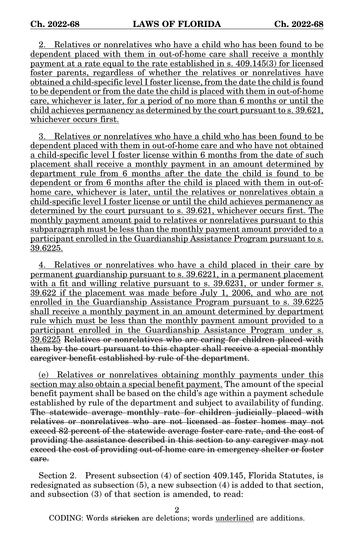2. Relatives or nonrelatives who have a child who has been found to be dependent placed with them in out-of-home care shall receive a monthly payment at a rate equal to the rate established in s. 409.145(3) for licensed foster parents, regardless of whether the relatives or nonrelatives have obtained a child-specific level I foster license, from the date the child is found to be dependent or from the date the child is placed with them in out-of-home care, whichever is later, for a period of no more than 6 months or until the child achieves permanency as determined by the court pursuant to s. 39.621, whichever occurs first.

3. Relatives or nonrelatives who have a child who has been found to be dependent placed with them in out-of-home care and who have not obtained a child-specific level I foster license within 6 months from the date of such placement shall receive a monthly payment in an amount determined by department rule from 6 months after the date the child is found to be dependent or from 6 months after the child is placed with them in out-ofhome care, whichever is later, until the relatives or nonrelatives obtain a child-specific level I foster license or until the child achieves permanency as determined by the court pursuant to s. 39.621, whichever occurs first. The monthly payment amount paid to relatives or nonrelatives pursuant to this subparagraph must be less than the monthly payment amount provided to a participant enrolled in the Guardianship Assistance Program pursuant to s. 39.6225.

4. Relatives or nonrelatives who have a child placed in their care by permanent guardianship pursuant to s. 39.6221, in a permanent placement with a fit and willing relative pursuant to s. 39.6231, or under former s. 39.622 if the placement was made before July 1, 2006, and who are not enrolled in the Guardianship Assistance Program pursuant to s. 39.6225 shall receive a monthly payment in an amount determined by department rule which must be less than the monthly payment amount provided to a participant enrolled in the Guardianship Assistance Program under s. 39.6225 Relatives or nonrelatives who are caring for children placed with them by the court pursuant to this chapter shall receive a special monthly caregiver benefit established by rule of the department.

(e) Relatives or nonrelatives obtaining monthly payments under this section may also obtain a special benefit payment. The amount of the special benefit payment shall be based on the child's age within a payment schedule established by rule of the department and subject to availability of funding. The statewide average monthly rate for children judicially placed with relatives or nonrelatives who are not licensed as foster homes may not exceed 82 percent of the statewide average foster care rate, and the cost of providing the assistance described in this section to any caregiver may not exceed the cost of providing out-of-home care in emergency shelter or foster care.

Section 2. Present subsection (4) of section 409.145, Florida Statutes, is redesignated as subsection  $(5)$ , a new subsection  $(4)$  is added to that section, and subsection (3) of that section is amended, to read:

2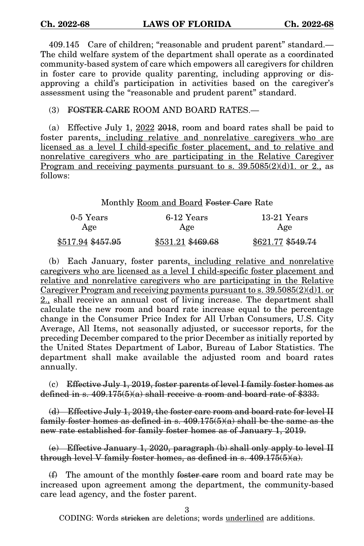409.145 Care of children; "reasonable and prudent parent" standard.— The child welfare system of the department shall operate as a coordinated community-based system of care which empowers all caregivers for children in foster care to provide quality parenting, including approving or disapproving a child's participation in activities based on the caregiver's assessment using the "reasonable and prudent parent" standard.

(3) FOSTER CARE ROOM AND BOARD RATES.—

(a) Effective July 1,  $2022$  2018, room and board rates shall be paid to foster parents, including relative and nonrelative caregivers who are licensed as a level I child-specific foster placement, and to relative and nonrelative caregivers who are participating in the Relative Caregiver Program and receiving payments pursuant to s.  $39.5085(2)(d)1$ . or 2., as follows:

## Monthly Room and Board Foster Care Rate

| 0-5 Years         | 6-12 Years        | $13-21$ Years     |
|-------------------|-------------------|-------------------|
| Age               | Age               | Age               |
| \$517.94 \$457.95 | \$531.21 \$469.68 | \$621.77 \$549.74 |

(b) Each January, foster parents, including relative and nonrelative caregivers who are licensed as a level I child-specific foster placement and relative and nonrelative caregivers who are participating in the Relative Caregiver Program and receiving payments pursuant to s.  $39.5085(2)(d)1$ . or 2., shall receive an annual cost of living increase. The department shall calculate the new room and board rate increase equal to the percentage change in the Consumer Price Index for All Urban Consumers, U.S. City Average, All Items, not seasonally adjusted, or successor reports, for the preceding December compared to the prior December as initially reported by the United States Department of Labor, Bureau of Labor Statistics. The department shall make available the adjusted room and board rates annually.

 $(c)$  Effective July 1, 2019, foster parents of level I family foster homes as defined in s.  $409.175(5)(a)$  shall receive a room and board rate of \$333.

(d) Effective July 1, 2019, the foster care room and board rate for level II family foster homes as defined in s.  $409.175(5)(a)$  shall be the same as the new rate established for family foster homes as of January 1, 2019.

(e) Effective January 1, 2020, paragraph (b) shall only apply to level II through level V family foster homes, as defined in s.  $409.175(5)(a)$ .

 $(f)$  The amount of the monthly foster care room and board rate may be increased upon agreement among the department, the community-based care lead agency, and the foster parent.

3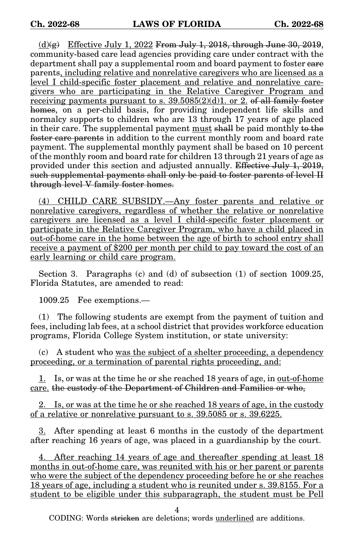(d) $\left(\frac{\alpha}{2}\right)$  Effective July 1, 2022 From July 1, 2018, through June 30, 2019, community-based care lead agencies providing care under contract with the department shall pay a supplemental room and board payment to foster care parents, including relative and nonrelative caregivers who are licensed as a level I child-specific foster placement and relative and nonrelative caregivers who are participating in the Relative Caregiver Program and receiving payments pursuant to s.  $39.5085(2)(d)1$ . or 2. of all family foster homes, on a per-child basis, for providing independent life skills and normalcy supports to children who are 13 through 17 years of age placed in their care. The supplemental payment must shall be paid monthly to the foster care parents in addition to the current monthly room and board rate payment. The supplemental monthly payment shall be based on 10 percent of the monthly room and board rate for children 13 through 21 years of age as provided under this section and adjusted annually. Effective July 1, 2019, such supplemental payments shall only be paid to foster parents of level II through level V family foster homes.

(4) CHILD CARE SUBSIDY.—Any foster parents and relative or nonrelative caregivers, regardless of whether the relative or nonrelative caregivers are licensed as a level I child-specific foster placement or participate in the Relative Caregiver Program, who have a child placed in out-of-home care in the home between the age of birth to school entry shall receive a payment of \$200 per month per child to pay toward the cost of an early learning or child care program.

Section 3. Paragraphs (c) and (d) of subsection (1) of section 1009.25, Florida Statutes, are amended to read:

1009.25 Fee exemptions.—

(1) The following students are exempt from the payment of tuition and fees, including lab fees, at a school district that provides workforce education programs, Florida College System institution, or state university:

(c) A student who was the subject of a shelter proceeding, a dependency proceeding, or a termination of parental rights proceeding, and:

1. Is, or was at the time he or she reached 18 years of age, in <u>out-of-home</u> care. the custody of the Department of Children and Families or who,

2. Is, or was at the time he or she reached 18 years of age, in the custody of a relative or nonrelative pursuant to s. 39.5085 or s. 39.6225.

3. After spending at least 6 months in the custody of the department after reaching 16 years of age, was placed in a guardianship by the court.

4. After reaching 14 years of age and thereafter spending at least 18 months in out-of-home care, was reunited with his or her parent or parents who were the subject of the dependency proceeding before he or she reaches 18 years of age, including a student who is reunited under s. 39.8155. For a student to be eligible under this subparagraph, the student must be Pell

4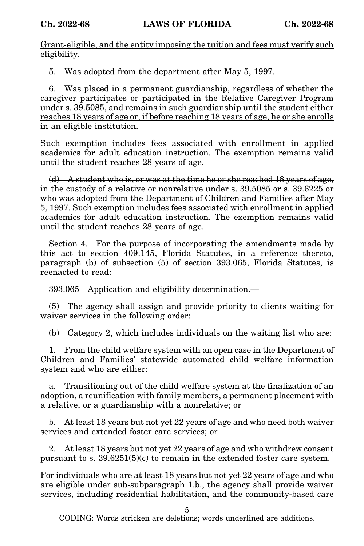Grant-eligible, and the entity imposing the tuition and fees must verify such eligibility.

5. Was adopted from the department after May 5, 1997.

6. Was placed in a permanent guardianship, regardless of whether the caregiver participates or participated in the Relative Caregiver Program under s. 39.5085, and remains in such guardianship until the student either reaches 18 years of age or, if before reaching 18 years of age, he or she enrolls in an eligible institution.

Such exemption includes fees associated with enrollment in applied academics for adult education instruction. The exemption remains valid until the student reaches 28 years of age.

 $(d)$  A student who is, or was at the time he or she reached 18 years of age, in the custody of a relative or nonrelative under s. 39.5085 or s. 39.6225 or who was adopted from the Department of Children and Families after May 5, 1997. Such exemption includes fees associated with enrollment in applied academics for adult education instruction. The exemption remains valid until the student reaches 28 years of age.

Section 4. For the purpose of incorporating the amendments made by this act to section 409.145, Florida Statutes, in a reference thereto, paragraph (b) of subsection (5) of section 393.065, Florida Statutes, is reenacted to read:

393.065 Application and eligibility determination.—

(5) The agency shall assign and provide priority to clients waiting for waiver services in the following order:

(b) Category 2, which includes individuals on the waiting list who are:

1. From the child welfare system with an open case in the Department of Children and Families' statewide automated child welfare information system and who are either:

a. Transitioning out of the child welfare system at the finalization of an adoption, a reunification with family members, a permanent placement with a relative, or a guardianship with a nonrelative; or

b. At least 18 years but not yet 22 years of age and who need both waiver services and extended foster care services; or

2. At least 18 years but not yet 22 years of age and who withdrew consent pursuant to s.  $39.6251(5)(c)$  to remain in the extended foster care system.

For individuals who are at least 18 years but not yet 22 years of age and who are eligible under sub-subparagraph 1.b., the agency shall provide waiver services, including residential habilitation, and the community-based care

5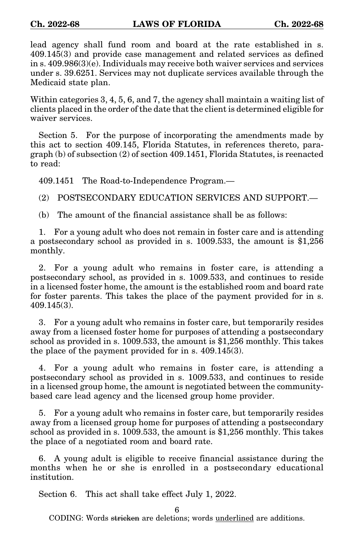lead agency shall fund room and board at the rate established in s. 409.145(3) and provide case management and related services as defined in s. 409.986(3)(e). Individuals may receive both waiver services and services under s. 39.6251. Services may not duplicate services available through the Medicaid state plan.

Within categories 3, 4, 5, 6, and 7, the agency shall maintain a waiting list of clients placed in the order of the date that the client is determined eligible for waiver services.

Section 5. For the purpose of incorporating the amendments made by this act to section 409.145, Florida Statutes, in references thereto, paragraph (b) of subsection (2) of section 409.1451, Florida Statutes, is reenacted to read:

409.1451 The Road-to-Independence Program.—

(2) POSTSECONDARY EDUCATION SERVICES AND SUPPORT.—

(b) The amount of the financial assistance shall be as follows:

1. For a young adult who does not remain in foster care and is attending a postsecondary school as provided in s. 1009.533, the amount is \$1,256 monthly.

2. For a young adult who remains in foster care, is attending a postsecondary school, as provided in s. 1009.533, and continues to reside in a licensed foster home, the amount is the established room and board rate for foster parents. This takes the place of the payment provided for in s. 409.145(3).

3. For a young adult who remains in foster care, but temporarily resides away from a licensed foster home for purposes of attending a postsecondary school as provided in s. 1009.533, the amount is \$1,256 monthly. This takes the place of the payment provided for in s. 409.145(3).

4. For a young adult who remains in foster care, is attending a postsecondary school as provided in s. 1009.533, and continues to reside in a licensed group home, the amount is negotiated between the communitybased care lead agency and the licensed group home provider.

5. For a young adult who remains in foster care, but temporarily resides away from a licensed group home for purposes of attending a postsecondary school as provided in s. 1009.533, the amount is \$1,256 monthly. This takes the place of a negotiated room and board rate.

6. A young adult is eligible to receive financial assistance during the months when he or she is enrolled in a postsecondary educational institution.

Section 6. This act shall take effect July 1, 2022.

6